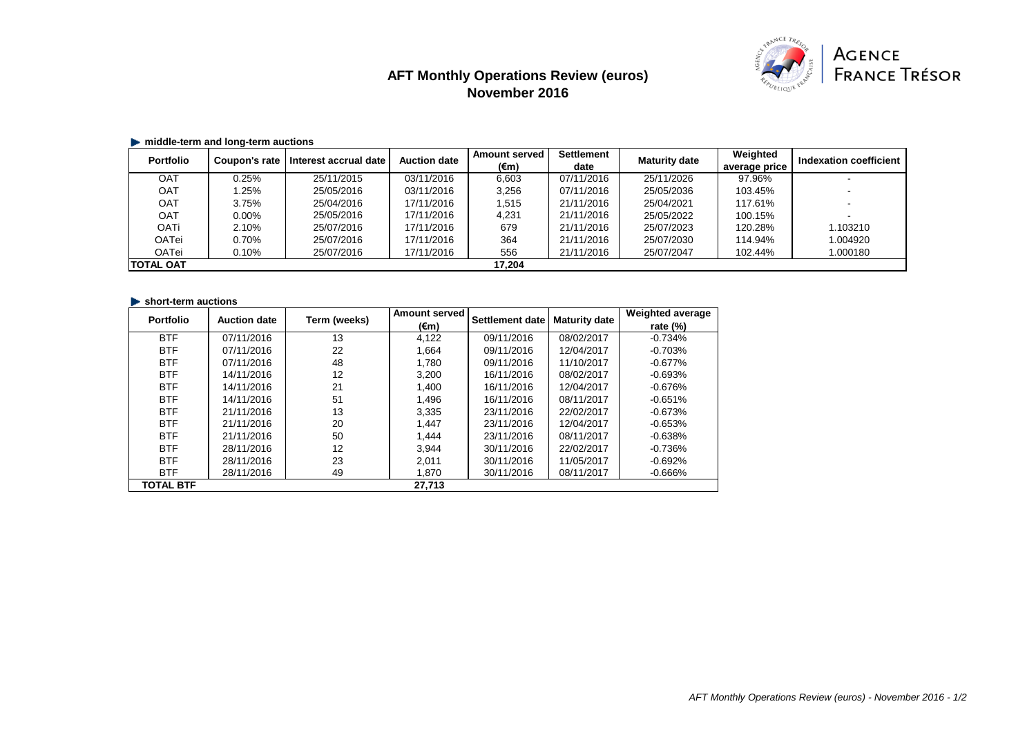# **AFT Monthly Operations Review (euros) November 2016**



## **middle-term and long-term auctions**

| <b>Portfolio</b> | Coupon's rate | Interest accrual date | <b>Auction date</b> | <b>Amount served</b> | <b>Settlement</b> | <b>Maturity date</b> | Weighted      | Indexation coefficient |
|------------------|---------------|-----------------------|---------------------|----------------------|-------------------|----------------------|---------------|------------------------|
|                  |               |                       |                     | $(\epsilon m)$       | date              |                      | average price |                        |
| <b>OAT</b>       | 0.25%         | 25/11/2015            | 03/11/2016          | 6,603                | 07/11/2016        | 25/11/2026           | 97.96%        |                        |
| OAT              | .25%          | 25/05/2016            | 03/11/2016          | 3,256                | 07/11/2016        | 25/05/2036           | 103.45%       |                        |
| <b>OAT</b>       | 3.75%         | 25/04/2016            | 17/11/2016          | 1,515                | 21/11/2016        | 25/04/2021           | 117.61%       |                        |
| <b>OAT</b>       | $0.00\%$      | 25/05/2016            | 17/11/2016          | 4,231                | 21/11/2016        | 25/05/2022           | 100.15%       |                        |
| <b>OATi</b>      | 2.10%         | 25/07/2016            | 17/11/2016          | 679                  | 21/11/2016        | 25/07/2023           | 120.28%       | 1.103210               |
| <b>OATei</b>     | 0.70%         | 25/07/2016            | 17/11/2016          | 364                  | 21/11/2016        | 25/07/2030           | 114.94%       | 1.004920               |
| OATei            | 0.10%         | 25/07/2016            | 17/11/2016          | 556                  | 21/11/2016        | 25/07/2047           | 102.44%       | 1.000180               |
| <b>TOTAL OAT</b> |               |                       |                     | 17,204               |                   |                      |               |                        |

### **short-term auctions**

| <b>Portfolio</b> | <b>Auction date</b> | Term (weeks) | <b>Amount served</b> | <b>Settlement date</b> | <b>Maturity date</b> | <b>Weighted average</b> |
|------------------|---------------------|--------------|----------------------|------------------------|----------------------|-------------------------|
|                  |                     |              | $(\epsilon m)$       |                        |                      | rate $(\%)$             |
| <b>BTF</b>       | 07/11/2016          | 13           | 4,122                | 09/11/2016             | 08/02/2017           | $-0.734%$               |
| <b>BTF</b>       | 07/11/2016          | 22           | 1,664                | 09/11/2016             | 12/04/2017           | $-0.703%$               |
| <b>BTF</b>       | 07/11/2016          | 48           | 1,780                | 09/11/2016             | 11/10/2017           | $-0.677%$               |
| <b>BTF</b>       | 14/11/2016          | 12           | 3,200                | 16/11/2016             | 08/02/2017           | $-0.693%$               |
| <b>BTF</b>       | 14/11/2016          | 21           | 1,400                | 16/11/2016             | 12/04/2017           | $-0.676%$               |
| <b>BTF</b>       | 14/11/2016          | 51           | 1,496                | 16/11/2016             | 08/11/2017           | $-0.651%$               |
| <b>BTF</b>       | 21/11/2016          | 13           | 3,335                | 23/11/2016             | 22/02/2017           | $-0.673%$               |
| <b>BTF</b>       | 21/11/2016          | 20           | 1,447                | 23/11/2016             | 12/04/2017           | $-0.653%$               |
| <b>BTF</b>       | 21/11/2016          | 50           | 1,444                | 23/11/2016             | 08/11/2017           | $-0.638%$               |
| <b>BTF</b>       | 28/11/2016          | 12           | 3,944                | 30/11/2016             | 22/02/2017           | $-0.736%$               |
| <b>BTF</b>       | 28/11/2016          | 23           | 2,011                | 30/11/2016             | 11/05/2017           | $-0.692%$               |
| <b>BTF</b>       | 28/11/2016          | 49           | 1,870                | 30/11/2016             | 08/11/2017           | $-0.666%$               |
| <b>TOTAL BTF</b> |                     |              | 27,713               |                        |                      |                         |